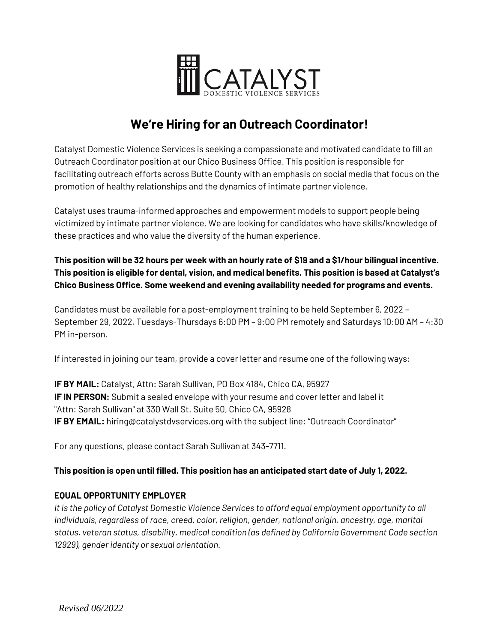

# **We're Hiring for an Outreach Coordinator!**

Catalyst Domestic Violence Services is seeking a compassionate and motivated candidate to fill an Outreach Coordinator position at our Chico Business Office. This position is responsible for facilitating outreach efforts across Butte County with an emphasis on social media that focus on the promotion of healthy relationships and the dynamics of intimate partner violence.

Catalyst uses trauma-informed approaches and empowerment models to support people being victimized by intimate partner violence. We are looking for candidates who have skills/knowledge of these practices and who value the diversity of the human experience.

## **This position will be 32 hours per week with an hourly rate of \$19 and a \$1/hour bilingual incentive. This position is eligible for dental, vision, and medical benefits. This position is based at Catalyst's Chico Business Office. Some weekend and evening availability needed for programs and events.**

Candidates must be available for a post-employment training to be held September 6, 2022 – September 29, 2022, Tuesdays-Thursdays 6:00 PM – 9:00 PM remotely and Saturdays 10:00 AM – 4:30 PM in-person.

If interested in joining our team, provide a cover letter and resume one of the following ways:

**IF BY MAIL:** Catalyst, Attn: Sarah Sullivan, PO Box 4184, Chico CA, 95927 **IF IN PERSON:** Submit a sealed envelope with your resume and cover letter and label it "Attn: Sarah Sullivan" at 330 Wall St. Suite 50, Chico CA, 95928 **IF BY EMAIL:** hiring@catalystdvservices.org with the subject line: "Outreach Coordinator"

For any questions, please contact Sarah Sullivan at 343-7711.

## **This position is open until filled. This position has an anticipated start date of July 1, 2022.**

## **EQUAL OPPORTUNITY EMPLOYER**

*It is the policy of Catalyst Domestic Violence Services to afford equal employment opportunity to all individuals, regardless of race, creed, color, religion, gender, national origin, ancestry, age, marital status, veteran status, disability, medical condition (as defined by California Government Code section 12929), gender identity or sexual orientation.*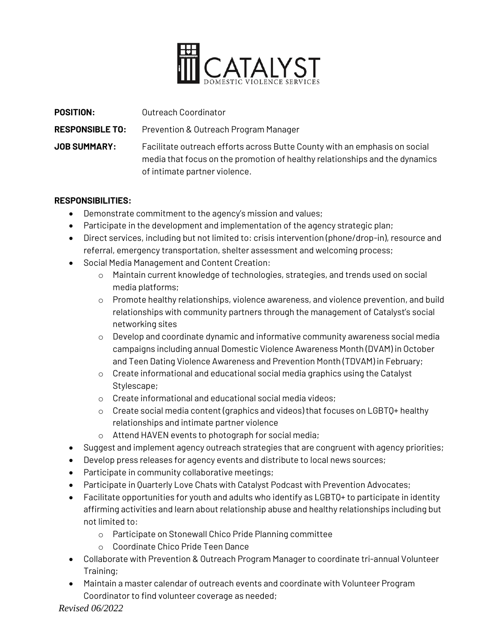

| <b>POSITION:</b>       | Outreach Coordinator                                                                                                                                                                       |
|------------------------|--------------------------------------------------------------------------------------------------------------------------------------------------------------------------------------------|
| <b>RESPONSIBLE TO:</b> | <b>Prevention &amp; Outreach Program Manager</b>                                                                                                                                           |
| <b>JOB SUMMARY:</b>    | Facilitate outreach efforts across Butte County with an emphasis on social<br>media that focus on the promotion of healthy relationships and the dynamics<br>of intimate partner violence. |

#### **RESPONSIBILITIES:**

- Demonstrate commitment to the agency's mission and values;
- Participate in the development and implementation of the agency strategic plan;
- Direct services, including but not limited to: crisis intervention (phone/drop-in), resource and referral, emergency transportation, shelter assessment and welcoming process;
- Social Media Management and Content Creation:
	- o Maintain current knowledge of technologies, strategies, and trends used on social media platforms;
	- o Promote healthy relationships, violence awareness, and violence prevention, and build relationships with community partners through the management of Catalyst's social networking sites
	- o Develop and coordinate dynamic and informative community awareness social media campaigns including annual Domestic Violence Awareness Month (DVAM) in October and Teen Dating Violence Awareness and Prevention Month (TDVAM) in February;
	- o Create informational and educational social media graphics using the Catalyst Stylescape;
	- o Create informational and educational social media videos;
	- o Create social media content (graphics and videos) that focuses on LGBTQ+ healthy relationships and intimate partner violence
	- o Attend HAVEN events to photograph for social media;
- Suggest and implement agency outreach strategies that are congruent with agency priorities;
- Develop press releases for agency events and distribute to local news sources;
- Participate in community collaborative meetings;
- Participate in Quarterly Love Chats with Catalyst Podcast with Prevention Advocates;
- Facilitate opportunities for youth and adults who identify as LGBTQ+ to participate in identity affirming activities and learn about relationship abuse and healthy relationships including but not limited to:
	- o Participate on Stonewall Chico Pride Planning committee
	- o Coordinate Chico Pride Teen Dance
- Collaborate with Prevention & Outreach Program Manager to coordinate tri-annual Volunteer Training;
- Maintain a master calendar of outreach events and coordinate with Volunteer Program Coordinator to find volunteer coverage as needed;

*Revised 06/2022*